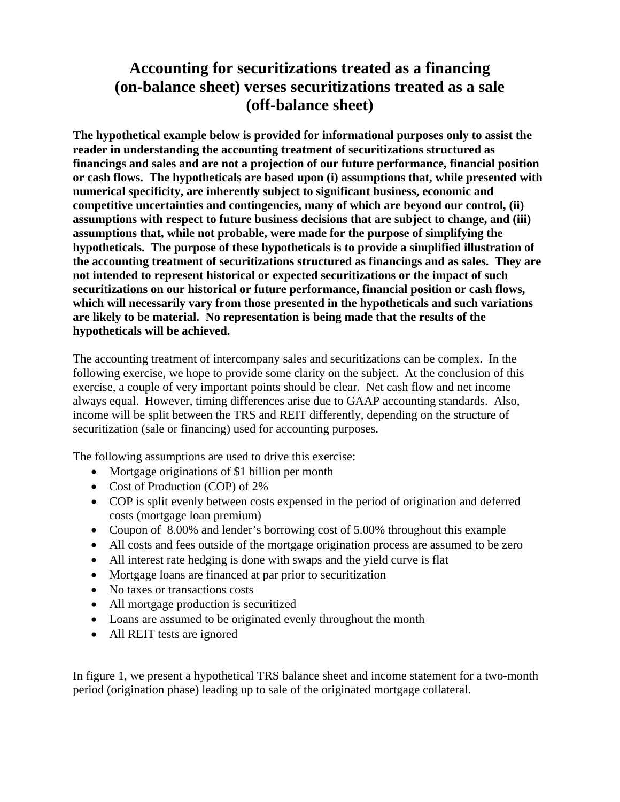# **Accounting for securitizations treated as a financing (on-balance sheet) verses securitizations treated as a sale (off-balance sheet)**

**The hypothetical example below is provided for informational purposes only to assist the reader in understanding the accounting treatment of securitizations structured as financings and sales and are not a projection of our future performance, financial position or cash flows. The hypotheticals are based upon (i) assumptions that, while presented with numerical specificity, are inherently subject to significant business, economic and competitive uncertainties and contingencies, many of which are beyond our control, (ii) assumptions with respect to future business decisions that are subject to change, and (iii) assumptions that, while not probable, were made for the purpose of simplifying the hypotheticals. The purpose of these hypotheticals is to provide a simplified illustration of the accounting treatment of securitizations structured as financings and as sales. They are not intended to represent historical or expected securitizations or the impact of such securitizations on our historical or future performance, financial position or cash flows, which will necessarily vary from those presented in the hypotheticals and such variations are likely to be material. No representation is being made that the results of the hypotheticals will be achieved.** 

The accounting treatment of intercompany sales and securitizations can be complex. In the following exercise, we hope to provide some clarity on the subject. At the conclusion of this exercise, a couple of very important points should be clear. Net cash flow and net income always equal. However, timing differences arise due to GAAP accounting standards. Also, income will be split between the TRS and REIT differently, depending on the structure of securitization (sale or financing) used for accounting purposes.

The following assumptions are used to drive this exercise:

- Mortgage originations of \$1 billion per month
- Cost of Production (COP) of 2%
- COP is split evenly between costs expensed in the period of origination and deferred costs (mortgage loan premium)
- Coupon of 8.00% and lender's borrowing cost of 5.00% throughout this example
- All costs and fees outside of the mortgage origination process are assumed to be zero
- All interest rate hedging is done with swaps and the yield curve is flat
- Mortgage loans are financed at par prior to securitization
- No taxes or transactions costs
- All mortgage production is securitized
- Loans are assumed to be originated evenly throughout the month
- All REIT tests are ignored

In figure 1, we present a hypothetical TRS balance sheet and income statement for a two-month period (origination phase) leading up to sale of the originated mortgage collateral.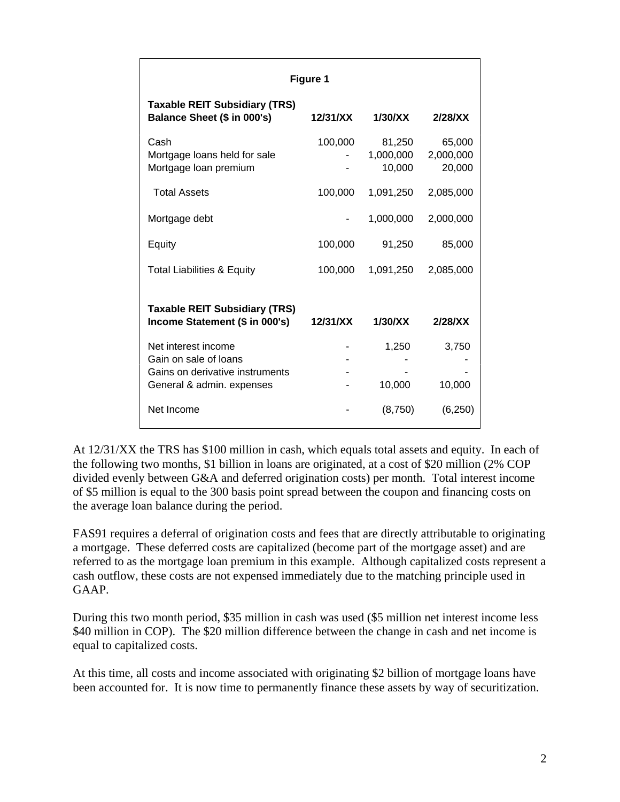| Figure 1                                                                                                     |          |                               |                               |  |  |  |  |  |  |
|--------------------------------------------------------------------------------------------------------------|----------|-------------------------------|-------------------------------|--|--|--|--|--|--|
| <b>Taxable REIT Subsidiary (TRS)</b><br>Balance Sheet (\$ in 000's)                                          | 12/31/XX | 1/30/XX                       | 2/28/X                        |  |  |  |  |  |  |
| Cash<br>Mortgage loans held for sale<br>Mortgage loan premium                                                | 100,000  | 81,250<br>1,000,000<br>10,000 | 65,000<br>2,000,000<br>20,000 |  |  |  |  |  |  |
| <b>Total Assets</b>                                                                                          | 100,000  | 1,091,250                     | 2,085,000                     |  |  |  |  |  |  |
| Mortgage debt                                                                                                |          | 1,000,000                     | 2,000,000                     |  |  |  |  |  |  |
| Equity                                                                                                       | 100,000  | 91,250                        | 85,000                        |  |  |  |  |  |  |
| <b>Total Liabilities &amp; Equity</b>                                                                        | 100,000  | 1,091,250                     | 2,085,000                     |  |  |  |  |  |  |
| <b>Taxable REIT Subsidiary (TRS)</b><br>Income Statement (\$ in 000's)                                       | 12/31/XX | 1/30/XX                       | 2/28/X                        |  |  |  |  |  |  |
| Net interest income<br>Gain on sale of loans<br>Gains on derivative instruments<br>General & admin. expenses |          | 1,250<br>10,000               | 3,750<br>10,000               |  |  |  |  |  |  |
| Net Income                                                                                                   |          | (8,750)                       | (6, 250)                      |  |  |  |  |  |  |

At 12/31/XX the TRS has \$100 million in cash, which equals total assets and equity. In each of the following two months, \$1 billion in loans are originated, at a cost of \$20 million (2% COP divided evenly between G&A and deferred origination costs) per month. Total interest income of \$5 million is equal to the 300 basis point spread between the coupon and financing costs on the average loan balance during the period.

FAS91 requires a deferral of origination costs and fees that are directly attributable to originating a mortgage. These deferred costs are capitalized (become part of the mortgage asset) and are referred to as the mortgage loan premium in this example. Although capitalized costs represent a cash outflow, these costs are not expensed immediately due to the matching principle used in GAAP.

During this two month period, \$35 million in cash was used (\$5 million net interest income less \$40 million in COP). The \$20 million difference between the change in cash and net income is equal to capitalized costs.

At this time, all costs and income associated with originating \$2 billion of mortgage loans have been accounted for. It is now time to permanently finance these assets by way of securitization.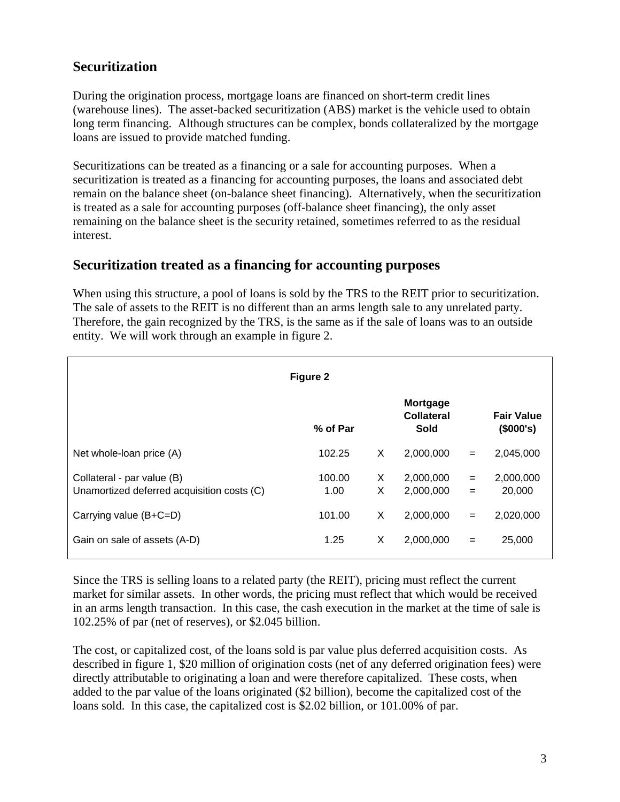## **Securitization**

During the origination process, mortgage loans are financed on short-term credit lines (warehouse lines). The asset-backed securitization (ABS) market is the vehicle used to obtain long term financing. Although structures can be complex, bonds collateralized by the mortgage loans are issued to provide matched funding.

Securitizations can be treated as a financing or a sale for accounting purposes. When a securitization is treated as a financing for accounting purposes, the loans and associated debt remain on the balance sheet (on-balance sheet financing). Alternatively, when the securitization is treated as a sale for accounting purposes (off-balance sheet financing), the only asset remaining on the balance sheet is the security retained, sometimes referred to as the residual interest.

#### **Securitization treated as a financing for accounting purposes**

When using this structure, a pool of loans is sold by the TRS to the REIT prior to securitization. The sale of assets to the REIT is no different than an arms length sale to any unrelated party. Therefore, the gain recognized by the TRS, is the same as if the sale of loans was to an outside entity. We will work through an example in figure 2.

| Figure 2                                                                 |                |        |                                |            |                                |  |  |  |  |
|--------------------------------------------------------------------------|----------------|--------|--------------------------------|------------|--------------------------------|--|--|--|--|
|                                                                          | % of Par       |        | Mortgage<br>Collateral<br>Sold |            | <b>Fair Value</b><br>(\$000's) |  |  |  |  |
| Net whole-loan price (A)                                                 | 102.25         | Χ      | 2,000,000                      | $=$        | 2,045,000                      |  |  |  |  |
| Collateral - par value (B)<br>Unamortized deferred acquisition costs (C) | 100.00<br>1.00 | X<br>X | 2,000,000<br>2,000,000         | $=$<br>$=$ | 2,000,000<br>20,000            |  |  |  |  |
| Carrying value (B+C=D)                                                   | 101.00         | X      | 2,000,000                      | $=$        | 2,020,000                      |  |  |  |  |
| Gain on sale of assets (A-D)                                             | 1.25           | X      | 2,000,000                      | $=$        | 25,000                         |  |  |  |  |

Since the TRS is selling loans to a related party (the REIT), pricing must reflect the current market for similar assets. In other words, the pricing must reflect that which would be received in an arms length transaction. In this case, the cash execution in the market at the time of sale is 102.25% of par (net of reserves), or \$2.045 billion.

The cost, or capitalized cost, of the loans sold is par value plus deferred acquisition costs. As described in figure 1, \$20 million of origination costs (net of any deferred origination fees) were directly attributable to originating a loan and were therefore capitalized. These costs, when added to the par value of the loans originated (\$2 billion), become the capitalized cost of the loans sold. In this case, the capitalized cost is \$2.02 billion, or 101.00% of par.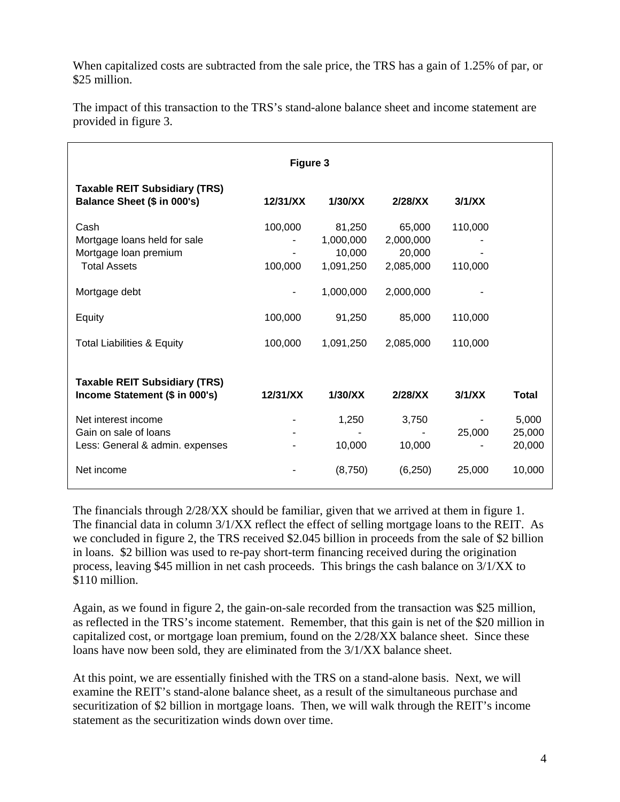When capitalized costs are subtracted from the sale price, the TRS has a gain of 1.25% of par, or \$25 million.

| Figure 3                                                                             |                    |                                            |                                            |                    |                           |  |  |  |  |
|--------------------------------------------------------------------------------------|--------------------|--------------------------------------------|--------------------------------------------|--------------------|---------------------------|--|--|--|--|
| <b>Taxable REIT Subsidiary (TRS)</b><br>Balance Sheet (\$ in 000's)                  | 12/31/XX           | 1/30/XX                                    | 2/28/X                                     | 3/1/XX             |                           |  |  |  |  |
| Cash<br>Mortgage loans held for sale<br>Mortgage loan premium<br><b>Total Assets</b> | 100,000<br>100,000 | 81,250<br>1,000,000<br>10,000<br>1,091,250 | 65,000<br>2,000,000<br>20,000<br>2,085,000 | 110,000<br>110,000 |                           |  |  |  |  |
| Mortgage debt                                                                        |                    | 1,000,000                                  | 2,000,000                                  |                    |                           |  |  |  |  |
| Equity                                                                               | 100,000            | 91,250                                     | 85,000                                     | 110,000            |                           |  |  |  |  |
| <b>Total Liabilities &amp; Equity</b>                                                | 100,000            | 1,091,250                                  | 2,085,000                                  | 110,000            |                           |  |  |  |  |
| <b>Taxable REIT Subsidiary (TRS)</b><br>Income Statement (\$ in 000's)               | 12/31/XX           | 1/30/XX                                    | 2/28/XX                                    | 3/1/XX             | <b>Total</b>              |  |  |  |  |
| Net interest income<br>Gain on sale of loans<br>Less: General & admin. expenses      |                    | 1,250<br>10,000                            | 3,750<br>10,000                            | 25,000             | 5,000<br>25,000<br>20,000 |  |  |  |  |
| Net income                                                                           |                    | (8,750)                                    | (6, 250)                                   | 25,000             | 10,000                    |  |  |  |  |

The impact of this transaction to the TRS's stand-alone balance sheet and income statement are provided in figure 3.

The financials through 2/28/XX should be familiar, given that we arrived at them in figure 1. The financial data in column 3/1/XX reflect the effect of selling mortgage loans to the REIT. As we concluded in figure 2, the TRS received \$2.045 billion in proceeds from the sale of \$2 billion in loans. \$2 billion was used to re-pay short-term financing received during the origination process, leaving \$45 million in net cash proceeds. This brings the cash balance on 3/1/XX to \$110 million.

Again, as we found in figure 2, the gain-on-sale recorded from the transaction was \$25 million, as reflected in the TRS's income statement. Remember, that this gain is net of the \$20 million in capitalized cost, or mortgage loan premium, found on the 2/28/XX balance sheet. Since these loans have now been sold, they are eliminated from the 3/1/XX balance sheet.

At this point, we are essentially finished with the TRS on a stand-alone basis. Next, we will examine the REIT's stand-alone balance sheet, as a result of the simultaneous purchase and securitization of \$2 billion in mortgage loans. Then, we will walk through the REIT's income statement as the securitization winds down over time.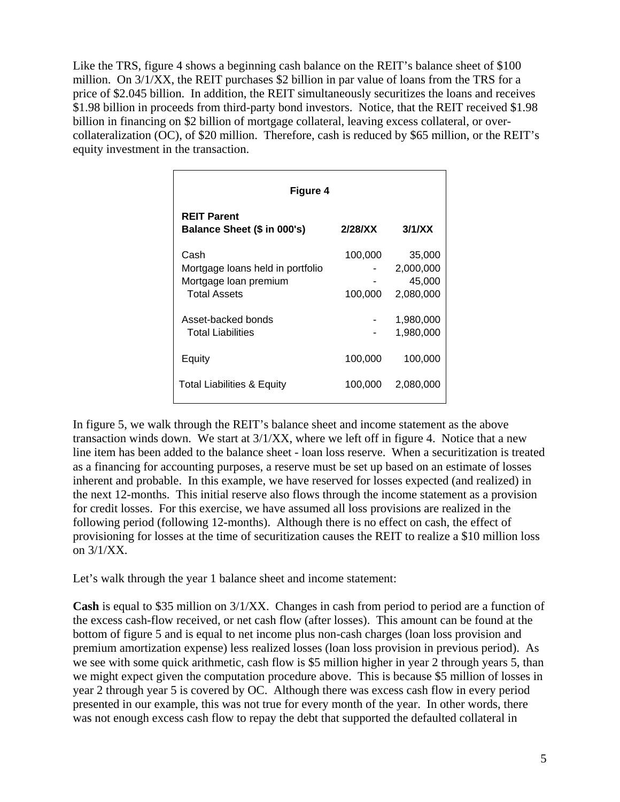Like the TRS, figure 4 shows a beginning cash balance on the REIT's balance sheet of \$100 million. On 3/1/XX, the REIT purchases \$2 billion in par value of loans from the TRS for a price of \$2.045 billion. In addition, the REIT simultaneously securitizes the loans and receives \$1.98 billion in proceeds from third-party bond investors. Notice, that the REIT received \$1.98 billion in financing on \$2 billion of mortgage collateral, leaving excess collateral, or overcollateralization (OC), of \$20 million. Therefore, cash is reduced by \$65 million, or the REIT's equity investment in the transaction.

| Figure 4                                                                                 |                    |                                            |  |  |  |  |
|------------------------------------------------------------------------------------------|--------------------|--------------------------------------------|--|--|--|--|
| <b>REIT Parent</b><br>Balance Sheet (\$ in 000's)                                        | 2/28/X             | 3/1/XX                                     |  |  |  |  |
| Cash<br>Mortgage loans held in portfolio<br>Mortgage loan premium<br><b>Total Assets</b> | 100,000<br>100,000 | 35,000<br>2,000,000<br>45,000<br>2,080,000 |  |  |  |  |
| Asset-backed bonds<br><b>Total Liabilities</b>                                           |                    | 1,980,000<br>1,980,000                     |  |  |  |  |
| Equity                                                                                   | 100,000            | 100,000                                    |  |  |  |  |
| Total Liabilities & Equity                                                               | 100,000            | 2,080,000                                  |  |  |  |  |

In figure 5, we walk through the REIT's balance sheet and income statement as the above transaction winds down. We start at 3/1/XX, where we left off in figure 4. Notice that a new line item has been added to the balance sheet - loan loss reserve. When a securitization is treated as a financing for accounting purposes, a reserve must be set up based on an estimate of losses inherent and probable. In this example, we have reserved for losses expected (and realized) in the next 12-months. This initial reserve also flows through the income statement as a provision for credit losses. For this exercise, we have assumed all loss provisions are realized in the following period (following 12-months). Although there is no effect on cash, the effect of provisioning for losses at the time of securitization causes the REIT to realize a \$10 million loss on 3/1/XX.

Let's walk through the year 1 balance sheet and income statement:

**Cash** is equal to \$35 million on 3/1/XX. Changes in cash from period to period are a function of the excess cash-flow received, or net cash flow (after losses). This amount can be found at the bottom of figure 5 and is equal to net income plus non-cash charges (loan loss provision and premium amortization expense) less realized losses (loan loss provision in previous period). As we see with some quick arithmetic, cash flow is \$5 million higher in year 2 through years 5, than we might expect given the computation procedure above. This is because \$5 million of losses in year 2 through year 5 is covered by OC. Although there was excess cash flow in every period presented in our example, this was not true for every month of the year. In other words, there was not enough excess cash flow to repay the debt that supported the defaulted collateral in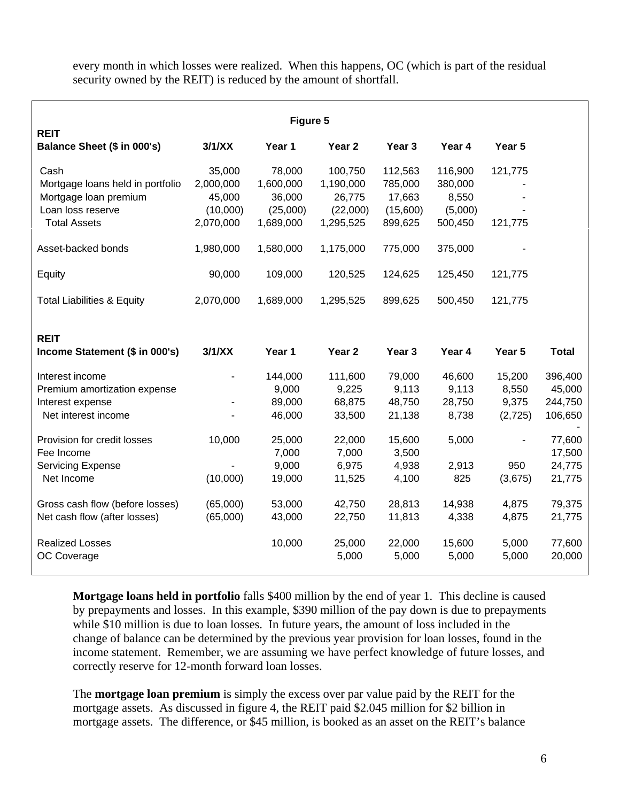every month in which losses were realized. When this happens, OC (which is part of the residual security owned by the REIT) is reduced by the amount of shortfall.

| Figure 5                                                                                                      |                                                        |                                                        |                                                         |                                                     |                                                   |                                     |                                         |  |
|---------------------------------------------------------------------------------------------------------------|--------------------------------------------------------|--------------------------------------------------------|---------------------------------------------------------|-----------------------------------------------------|---------------------------------------------------|-------------------------------------|-----------------------------------------|--|
| <b>REIT</b><br>Balance Sheet (\$ in 000's)                                                                    | 3/1/XX                                                 | Year 1                                                 | Year 2                                                  | Year 3                                              | Year 4                                            | Year 5                              |                                         |  |
| Cash<br>Mortgage loans held in portfolio<br>Mortgage loan premium<br>Loan loss reserve<br><b>Total Assets</b> | 35,000<br>2,000,000<br>45,000<br>(10,000)<br>2,070,000 | 78,000<br>1,600,000<br>36,000<br>(25,000)<br>1,689,000 | 100,750<br>1,190,000<br>26,775<br>(22,000)<br>1,295,525 | 112,563<br>785,000<br>17,663<br>(15,600)<br>899,625 | 116,900<br>380,000<br>8,550<br>(5,000)<br>500,450 | 121,775<br>121,775                  |                                         |  |
| Asset-backed bonds                                                                                            | 1,980,000                                              | 1,580,000                                              | 1,175,000                                               | 775,000                                             | 375,000                                           |                                     |                                         |  |
| Equity                                                                                                        | 90,000                                                 | 109,000                                                | 120,525                                                 | 124,625                                             | 125,450                                           | 121,775                             |                                         |  |
| <b>Total Liabilities &amp; Equity</b>                                                                         | 2,070,000                                              | 1,689,000                                              | 1,295,525                                               | 899,625                                             | 500,450                                           | 121,775                             |                                         |  |
| <b>REIT</b><br>Income Statement (\$ in 000's)                                                                 | 3/1/XX                                                 | Year 1                                                 | Year 2                                                  | Year 3                                              | Year 4                                            | Year 5                              | <b>Total</b>                            |  |
| Interest income<br>Premium amortization expense<br>Interest expense<br>Net interest income                    | $\blacksquare$                                         | 144,000<br>9,000<br>89,000<br>46,000                   | 111,600<br>9,225<br>68,875<br>33,500                    | 79,000<br>9,113<br>48,750<br>21,138                 | 46,600<br>9,113<br>28,750<br>8,738                | 15,200<br>8,550<br>9,375<br>(2,725) | 396,400<br>45,000<br>244,750<br>106,650 |  |
| Provision for credit losses<br>Fee Income<br><b>Servicing Expense</b><br>Net Income                           | 10,000<br>(10,000)                                     | 25,000<br>7,000<br>9,000<br>19,000                     | 22,000<br>7,000<br>6,975<br>11,525                      | 15,600<br>3,500<br>4,938<br>4,100                   | 5,000<br>2,913<br>825                             | ÷,<br>950<br>(3,675)                | 77,600<br>17,500<br>24,775<br>21,775    |  |
| Gross cash flow (before losses)<br>Net cash flow (after losses)                                               | (65,000)<br>(65,000)                                   | 53,000<br>43,000                                       | 42,750<br>22,750                                        | 28,813<br>11,813                                    | 14,938<br>4,338                                   | 4,875<br>4,875                      | 79,375<br>21,775                        |  |
| <b>Realized Losses</b><br>OC Coverage                                                                         |                                                        | 10,000                                                 | 25,000<br>5,000                                         | 22,000<br>5,000                                     | 15,600<br>5,000                                   | 5,000<br>5,000                      | 77,600<br>20,000                        |  |

**Mortgage loans held in portfolio** falls \$400 million by the end of year 1. This decline is caused by prepayments and losses. In this example, \$390 million of the pay down is due to prepayments while \$10 million is due to loan losses. In future years, the amount of loss included in the change of balance can be determined by the previous year provision for loan losses, found in the income statement. Remember, we are assuming we have perfect knowledge of future losses, and correctly reserve for 12-month forward loan losses.

The **mortgage loan premium** is simply the excess over par value paid by the REIT for the mortgage assets. As discussed in figure 4, the REIT paid \$2.045 million for \$2 billion in mortgage assets. The difference, or \$45 million, is booked as an asset on the REIT's balance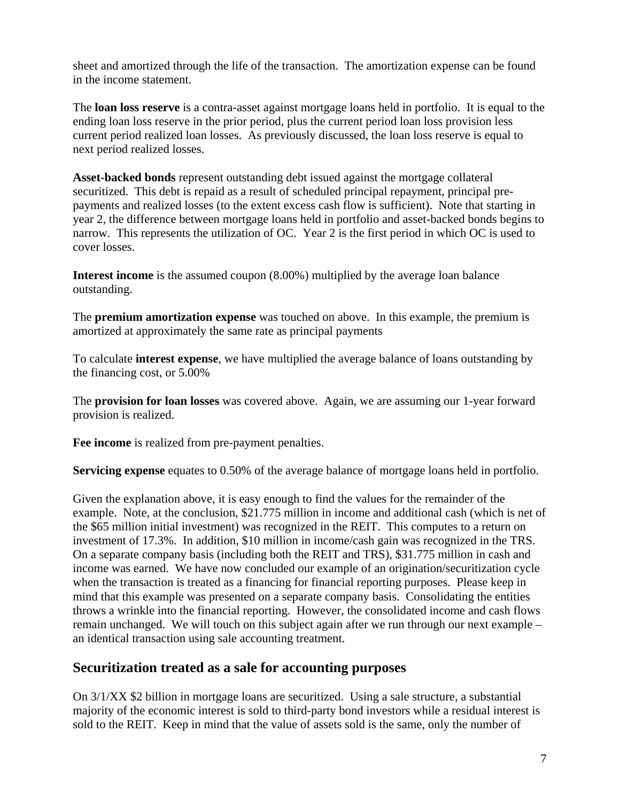sheet and amortized through the life of the transaction. The amortization expense can be found in the income statement.

The **loan loss reserve** is a contra-asset against mortgage loans held in portfolio. It is equal to the ending loan loss reserve in the prior period, plus the current period loan loss provision less current period realized loan losses. As previously discussed, the loan loss reserve is equal to next period realized losses.

**Asset-backed bonds** represent outstanding debt issued against the mortgage collateral securitized. This debt is repaid as a result of scheduled principal repayment, principal prepayments and realized losses (to the extent excess cash flow is sufficient). Note that starting in year 2, the difference between mortgage loans held in portfolio and asset-backed bonds begins to narrow. This represents the utilization of OC. Year 2 is the first period in which OC is used to cover losses.

**Interest income** is the assumed coupon (8.00%) multiplied by the average loan balance outstanding.

The **premium amortization expense** was touched on above. In this example, the premium is amortized at approximately the same rate as principal payments

To calculate **interest expense**, we have multiplied the average balance of loans outstanding by the financing cost, or 5.00%

The **provision for loan losses** was covered above. Again, we are assuming our 1-year forward provision is realized.

**Fee income** is realized from pre-payment penalties.

**Servicing expense** equates to 0.50% of the average balance of mortgage loans held in portfolio.

Given the explanation above, it is easy enough to find the values for the remainder of the example. Note, at the conclusion, \$21.775 million in income and additional cash (which is net of the \$65 million initial investment) was recognized in the REIT. This computes to a return on investment of 17.3%. In addition, \$10 million in income/cash gain was recognized in the TRS. On a separate company basis (including both the REIT and TRS), \$31.775 million in cash and income was earned. We have now concluded our example of an origination/securitization cycle when the transaction is treated as a financing for financial reporting purposes. Please keep in mind that this example was presented on a separate company basis. Consolidating the entities throws a wrinkle into the financial reporting. However, the consolidated income and cash flows remain unchanged. We will touch on this subject again after we run through our next example – an identical transaction using sale accounting treatment.

#### **Securitization treated as a sale for accounting purposes**

On 3/1/XX \$2 billion in mortgage loans are securitized. Using a sale structure, a substantial majority of the economic interest is sold to third-party bond investors while a residual interest is sold to the REIT. Keep in mind that the value of assets sold is the same, only the number of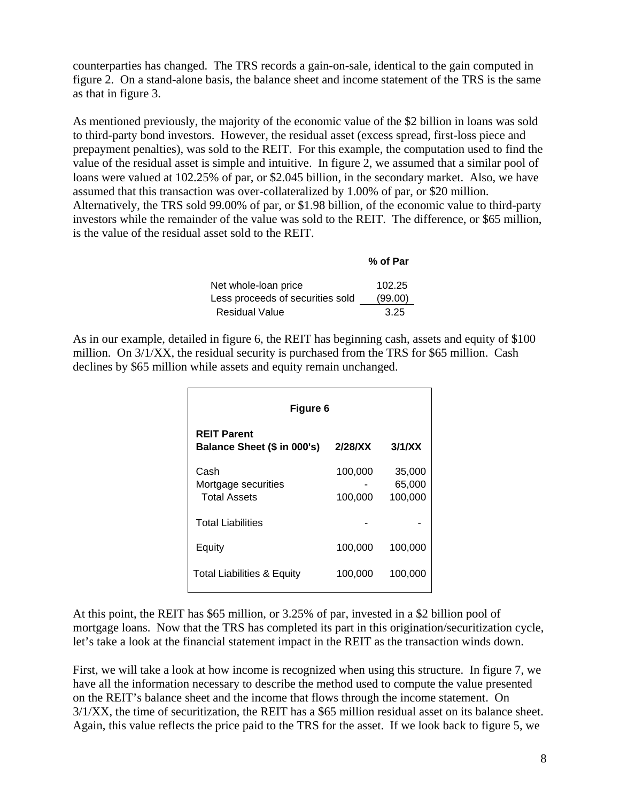counterparties has changed. The TRS records a gain-on-sale, identical to the gain computed in figure 2. On a stand-alone basis, the balance sheet and income statement of the TRS is the same as that in figure 3.

As mentioned previously, the majority of the economic value of the \$2 billion in loans was sold to third-party bond investors. However, the residual asset (excess spread, first-loss piece and prepayment penalties), was sold to the REIT. For this example, the computation used to find the value of the residual asset is simple and intuitive. In figure 2, we assumed that a similar pool of loans were valued at 102.25% of par, or \$2.045 billion, in the secondary market. Also, we have assumed that this transaction was over-collateralized by 1.00% of par, or \$20 million. Alternatively, the TRS sold 99.00% of par, or \$1.98 billion, of the economic value to third-party investors while the remainder of the value was sold to the REIT. The difference, or \$65 million, is the value of the residual asset sold to the REIT.

|                                  | % of Par |
|----------------------------------|----------|
| Net whole-loan price             | 102.25   |
| Less proceeds of securities sold | (99.00)  |
| <b>Residual Value</b>            | 3.25     |

As in our example, detailed in figure 6, the REIT has beginning cash, assets and equity of \$100 million. On 3/1/XX, the residual security is purchased from the TRS for \$65 million. Cash declines by \$65 million while assets and equity remain unchanged.

| Figure 6                                           |                    |                             |  |  |  |  |  |
|----------------------------------------------------|--------------------|-----------------------------|--|--|--|--|--|
| <b>REIT Parent</b><br>Balance Sheet (\$ in 000's)  | 2/28/XX            | 3/1/XX                      |  |  |  |  |  |
| Cash<br>Mortgage securities<br><b>Total Assets</b> | 100,000<br>100,000 | 35,000<br>65,000<br>100,000 |  |  |  |  |  |
| <b>Total Liabilities</b>                           |                    |                             |  |  |  |  |  |
| Equity                                             | 100,000            | 100,000                     |  |  |  |  |  |
| <b>Total Liabilities &amp; Equity</b>              | 100,000            | 100,000                     |  |  |  |  |  |

At this point, the REIT has \$65 million, or 3.25% of par, invested in a \$2 billion pool of mortgage loans. Now that the TRS has completed its part in this origination/securitization cycle, let's take a look at the financial statement impact in the REIT as the transaction winds down.

First, we will take a look at how income is recognized when using this structure. In figure 7, we have all the information necessary to describe the method used to compute the value presented on the REIT's balance sheet and the income that flows through the income statement. On 3/1/XX, the time of securitization, the REIT has a \$65 million residual asset on its balance sheet. Again, this value reflects the price paid to the TRS for the asset. If we look back to figure 5, we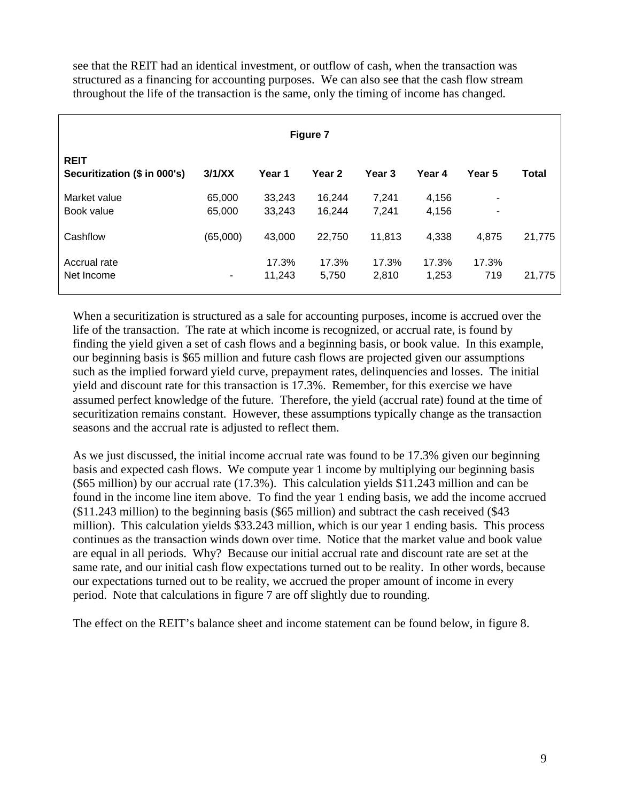see that the REIT had an identical investment, or outflow of cash, when the transaction was structured as a financing for accounting purposes. We can also see that the cash flow stream throughout the life of the transaction is the same, only the timing of income has changed.

| Figure 7                                    |                  |                  |                   |                   |                |                                  |        |  |
|---------------------------------------------|------------------|------------------|-------------------|-------------------|----------------|----------------------------------|--------|--|
| <b>REIT</b><br>Securitization (\$ in 000's) | 3/1/XX           | Year 1           | Year <sub>2</sub> | Year <sub>3</sub> | Year 4         | Year 5                           | Total  |  |
| Market value<br>Book value                  | 65,000<br>65,000 | 33,243<br>33,243 | 16.244<br>16,244  | 7.241<br>7,241    | 4,156<br>4,156 | $\blacksquare$<br>$\blacksquare$ |        |  |
| Cashflow                                    | (65,000)         | 43,000           | 22,750            | 11,813            | 4,338          | 4.875                            | 21,775 |  |
| Accrual rate<br>Net Income                  | ٠                | 17.3%<br>11,243  | 17.3%<br>5,750    | 17.3%<br>2,810    | 17.3%<br>1,253 | 17.3%<br>719                     | 21,775 |  |

When a securitization is structured as a sale for accounting purposes, income is accrued over the life of the transaction. The rate at which income is recognized, or accrual rate, is found by finding the yield given a set of cash flows and a beginning basis, or book value. In this example, our beginning basis is \$65 million and future cash flows are projected given our assumptions such as the implied forward yield curve, prepayment rates, delinquencies and losses. The initial yield and discount rate for this transaction is 17.3%. Remember, for this exercise we have assumed perfect knowledge of the future. Therefore, the yield (accrual rate) found at the time of securitization remains constant. However, these assumptions typically change as the transaction seasons and the accrual rate is adjusted to reflect them.

As we just discussed, the initial income accrual rate was found to be 17.3% given our beginning basis and expected cash flows. We compute year 1 income by multiplying our beginning basis (\$65 million) by our accrual rate (17.3%). This calculation yields \$11.243 million and can be found in the income line item above. To find the year 1 ending basis, we add the income accrued (\$11.243 million) to the beginning basis (\$65 million) and subtract the cash received (\$43 million). This calculation yields \$33.243 million, which is our year 1 ending basis. This process continues as the transaction winds down over time. Notice that the market value and book value are equal in all periods. Why? Because our initial accrual rate and discount rate are set at the same rate, and our initial cash flow expectations turned out to be reality. In other words, because our expectations turned out to be reality, we accrued the proper amount of income in every period. Note that calculations in figure 7 are off slightly due to rounding.

The effect on the REIT's balance sheet and income statement can be found below, in figure 8.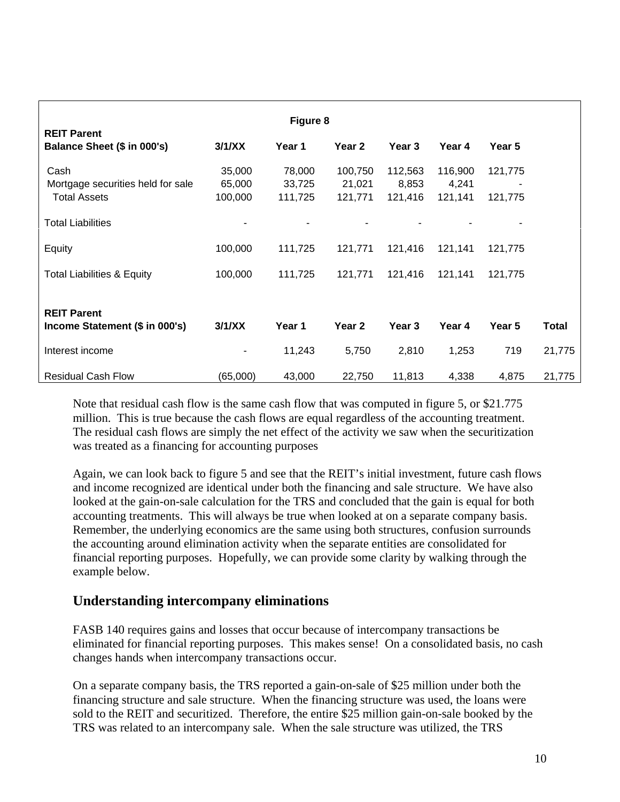| Figure 8<br><b>REIT Parent</b>        |          |         |         |         |         |               |              |  |
|---------------------------------------|----------|---------|---------|---------|---------|---------------|--------------|--|
| Balance Sheet (\$ in 000's)           | 3/1/XX   | Year 1  | Year 2  | Year 3  | Year 4  | <b>Year 5</b> |              |  |
| Cash                                  | 35,000   | 78,000  | 100,750 | 112,563 | 116,900 | 121,775       |              |  |
| Mortgage securities held for sale     | 65,000   | 33,725  | 21,021  | 8,853   | 4,241   |               |              |  |
| <b>Total Assets</b>                   | 100,000  | 111,725 | 121,771 | 121,416 | 121,141 | 121,775       |              |  |
| <b>Total Liabilities</b>              |          |         |         |         |         |               |              |  |
| Equity                                | 100,000  | 111,725 | 121,771 | 121,416 | 121,141 | 121,775       |              |  |
| <b>Total Liabilities &amp; Equity</b> | 100,000  | 111,725 | 121,771 | 121,416 | 121,141 | 121,775       |              |  |
| <b>REIT Parent</b>                    |          |         |         |         |         |               |              |  |
| Income Statement (\$ in 000's)        | 3/1/XX   | Year 1  | Year 2  | Year 3  | Year 4  | Year 5        | <b>Total</b> |  |
| Interest income                       | ۰        | 11,243  | 5,750   | 2,810   | 1,253   | 719           | 21,775       |  |
| <b>Residual Cash Flow</b>             | (65,000) | 43,000  | 22,750  | 11,813  | 4,338   | 4,875         | 21,775       |  |

Note that residual cash flow is the same cash flow that was computed in figure 5, or \$21.775 million. This is true because the cash flows are equal regardless of the accounting treatment. The residual cash flows are simply the net effect of the activity we saw when the securitization was treated as a financing for accounting purposes

Again, we can look back to figure 5 and see that the REIT's initial investment, future cash flows and income recognized are identical under both the financing and sale structure. We have also looked at the gain-on-sale calculation for the TRS and concluded that the gain is equal for both accounting treatments. This will always be true when looked at on a separate company basis. Remember, the underlying economics are the same using both structures, confusion surrounds the accounting around elimination activity when the separate entities are consolidated for financial reporting purposes. Hopefully, we can provide some clarity by walking through the example below.

## **Understanding intercompany eliminations**

FASB 140 requires gains and losses that occur because of intercompany transactions be eliminated for financial reporting purposes. This makes sense! On a consolidated basis, no cash changes hands when intercompany transactions occur.

On a separate company basis, the TRS reported a gain-on-sale of \$25 million under both the financing structure and sale structure. When the financing structure was used, the loans were sold to the REIT and securitized. Therefore, the entire \$25 million gain-on-sale booked by the TRS was related to an intercompany sale. When the sale structure was utilized, the TRS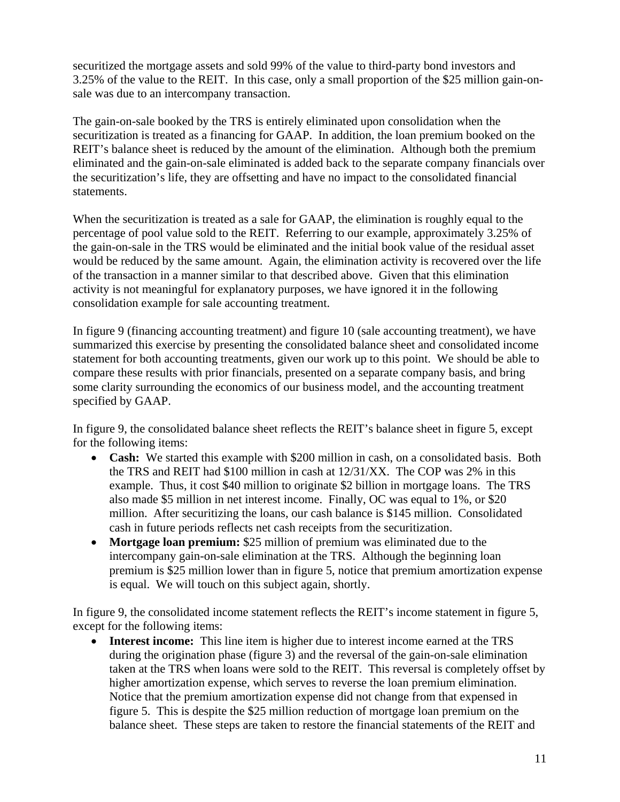securitized the mortgage assets and sold 99% of the value to third-party bond investors and 3.25% of the value to the REIT. In this case, only a small proportion of the \$25 million gain-onsale was due to an intercompany transaction.

The gain-on-sale booked by the TRS is entirely eliminated upon consolidation when the securitization is treated as a financing for GAAP. In addition, the loan premium booked on the REIT's balance sheet is reduced by the amount of the elimination. Although both the premium eliminated and the gain-on-sale eliminated is added back to the separate company financials over the securitization's life, they are offsetting and have no impact to the consolidated financial statements.

When the securitization is treated as a sale for GAAP, the elimination is roughly equal to the percentage of pool value sold to the REIT. Referring to our example, approximately 3.25% of the gain-on-sale in the TRS would be eliminated and the initial book value of the residual asset would be reduced by the same amount. Again, the elimination activity is recovered over the life of the transaction in a manner similar to that described above. Given that this elimination activity is not meaningful for explanatory purposes, we have ignored it in the following consolidation example for sale accounting treatment.

In figure 9 (financing accounting treatment) and figure 10 (sale accounting treatment), we have summarized this exercise by presenting the consolidated balance sheet and consolidated income statement for both accounting treatments, given our work up to this point. We should be able to compare these results with prior financials, presented on a separate company basis, and bring some clarity surrounding the economics of our business model, and the accounting treatment specified by GAAP.

In figure 9, the consolidated balance sheet reflects the REIT's balance sheet in figure 5, except for the following items:

- **Cash:** We started this example with \$200 million in cash, on a consolidated basis. Both the TRS and REIT had \$100 million in cash at 12/31/XX. The COP was 2% in this example. Thus, it cost \$40 million to originate \$2 billion in mortgage loans. The TRS also made \$5 million in net interest income. Finally, OC was equal to 1%, or \$20 million. After securitizing the loans, our cash balance is \$145 million. Consolidated cash in future periods reflects net cash receipts from the securitization.
- **Mortgage loan premium:** \$25 million of premium was eliminated due to the intercompany gain-on-sale elimination at the TRS. Although the beginning loan premium is \$25 million lower than in figure 5, notice that premium amortization expense is equal. We will touch on this subject again, shortly.

In figure 9, the consolidated income statement reflects the REIT's income statement in figure 5, except for the following items:

• **Interest income:** This line item is higher due to interest income earned at the TRS during the origination phase (figure 3) and the reversal of the gain-on-sale elimination taken at the TRS when loans were sold to the REIT. This reversal is completely offset by higher amortization expense, which serves to reverse the loan premium elimination. Notice that the premium amortization expense did not change from that expensed in figure 5. This is despite the \$25 million reduction of mortgage loan premium on the balance sheet. These steps are taken to restore the financial statements of the REIT and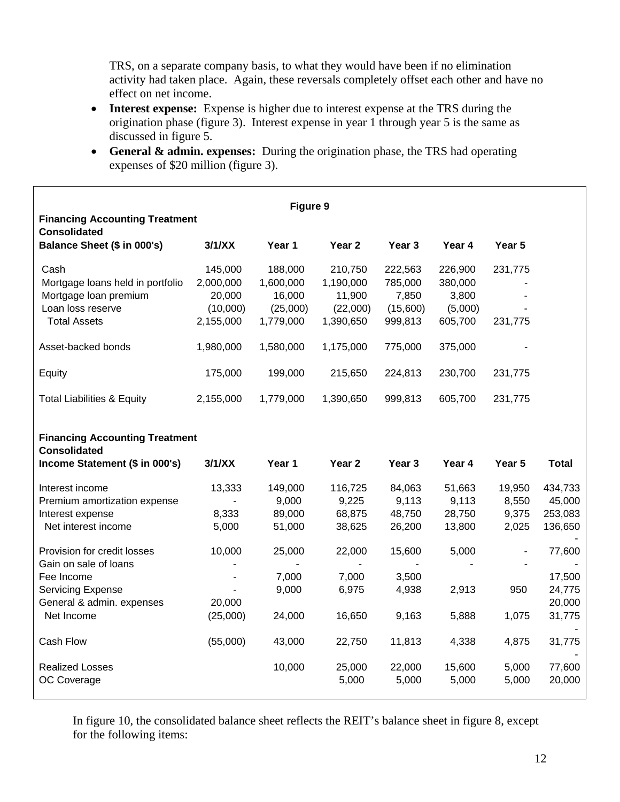TRS, on a separate company basis, to what they would have been if no elimination activity had taken place. Again, these reversals completely offset each other and have no effect on net income.

- **Interest expense:** Expense is higher due to interest expense at the TRS during the origination phase (figure 3). Interest expense in year 1 through year 5 is the same as discussed in figure 5.
- **General & admin. expenses:** During the origination phase, the TRS had operating expenses of \$20 million (figure 3).

| Figure 9<br><b>Financing Accounting Treatment</b>                                                                                         |                                                                  |                                                         |                                                         |                                                    |                                                   |                                   |                                                |  |
|-------------------------------------------------------------------------------------------------------------------------------------------|------------------------------------------------------------------|---------------------------------------------------------|---------------------------------------------------------|----------------------------------------------------|---------------------------------------------------|-----------------------------------|------------------------------------------------|--|
| <b>Consolidated</b><br>Balance Sheet (\$ in 000's)                                                                                        | 3/1/XX                                                           | Year 1                                                  | Year <sub>2</sub>                                       | Year 3                                             | Year 4                                            | Year 5                            |                                                |  |
| Cash<br>Mortgage loans held in portfolio<br>Mortgage loan premium<br>Loan loss reserve<br><b>Total Assets</b>                             | 145,000<br>2,000,000<br>20,000<br>(10,000)<br>2,155,000          | 188,000<br>1,600,000<br>16,000<br>(25,000)<br>1,779,000 | 210,750<br>1,190,000<br>11,900<br>(22,000)<br>1,390,650 | 222,563<br>785,000<br>7,850<br>(15,600)<br>999,813 | 226,900<br>380,000<br>3,800<br>(5,000)<br>605,700 | 231,775<br>231,775                |                                                |  |
| Asset-backed bonds                                                                                                                        | 1,980,000                                                        | 1,580,000                                               | 1,175,000                                               | 775,000                                            | 375,000                                           |                                   |                                                |  |
| Equity                                                                                                                                    | 175,000                                                          | 199,000                                                 | 215,650                                                 | 224,813                                            | 230,700                                           | 231,775                           |                                                |  |
| <b>Total Liabilities &amp; Equity</b>                                                                                                     | 2,155,000                                                        | 1,779,000                                               | 1,390,650                                               | 999,813                                            | 605,700                                           | 231,775                           |                                                |  |
| <b>Financing Accounting Treatment</b><br><b>Consolidated</b><br>Income Statement (\$ in 000's)                                            | 3/1/XX                                                           | Year 1                                                  | Year 2                                                  | Year 3                                             | Year 4                                            | Year 5                            | <b>Total</b>                                   |  |
| Interest income<br>Premium amortization expense<br>Interest expense<br>Net interest income                                                | 13,333<br>$\blacksquare$<br>8,333<br>5,000                       | 149,000<br>9,000<br>89,000<br>51,000                    | 116,725<br>9,225<br>68,875<br>38,625                    | 84,063<br>9,113<br>48,750<br>26,200                | 51,663<br>9,113<br>28,750<br>13,800               | 19,950<br>8,550<br>9,375<br>2,025 | 434,733<br>45,000<br>253,083<br>136,650        |  |
| Provision for credit losses<br>Gain on sale of loans<br>Fee Income<br><b>Servicing Expense</b><br>General & admin. expenses<br>Net Income | 10,000<br>$\blacksquare$<br>$\blacksquare$<br>20,000<br>(25,000) | 25,000<br>7,000<br>9,000<br>24,000                      | 22,000<br>7,000<br>6,975<br>16,650                      | 15,600<br>3,500<br>4,938<br>9,163                  | 5,000<br>2,913<br>5,888                           | $\blacksquare$<br>950<br>1,075    | 77,600<br>17,500<br>24,775<br>20,000<br>31,775 |  |
| Cash Flow                                                                                                                                 | (55,000)                                                         | 43,000                                                  | 22,750                                                  | 11,813                                             | 4,338                                             | 4,875                             | 31,775                                         |  |
| <b>Realized Losses</b><br>OC Coverage                                                                                                     |                                                                  | 10,000                                                  | 25,000<br>5,000                                         | 22,000<br>5,000                                    | 15,600<br>5,000                                   | 5,000<br>5,000                    | 77,600<br>20,000                               |  |

In figure 10, the consolidated balance sheet reflects the REIT's balance sheet in figure 8, except for the following items: